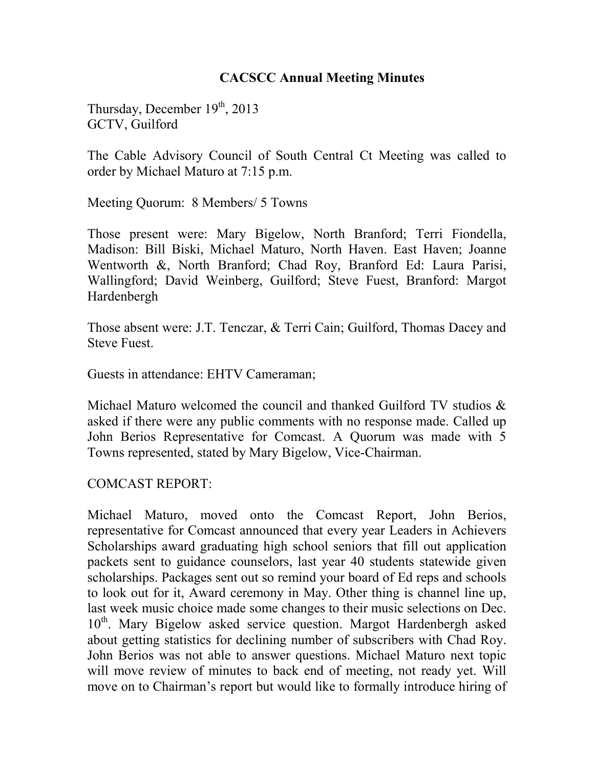## **CACSCC Annual Meeting Minutes**

Thursday, December  $19<sup>th</sup>$ , 2013 GCTV, Guilford

The Cable Advisory Council of South Central Ct Meeting was called to order by Michael Maturo at 7:15 p.m.

Meeting Quorum: 8 Members/ 5 Towns

Those present were: Mary Bigelow, North Branford; Terri Fiondella, Madison: Bill Biski, Michael Maturo, North Haven. East Haven; Joanne Wentworth &, North Branford; Chad Roy, Branford Ed: Laura Parisi, Wallingford; David Weinberg, Guilford; Steve Fuest, Branford: Margot Hardenbergh

Those absent were: J.T. Tenczar, & Terri Cain; Guilford, Thomas Dacey and Steve Fuest.

Guests in attendance: EHTV Cameraman;

Michael Maturo welcomed the council and thanked Guilford TV studios & asked if there were any public comments with no response made. Called up John Berios Representative for Comcast. A Quorum was made with 5 Towns represented, stated by Mary Bigelow, Vice-Chairman.

#### COMCAST REPORT:

Michael Maturo, moved onto the Comcast Report, John Berios, representative for Comcast announced that every year Leaders in Achievers Scholarships award graduating high school seniors that fill out application packets sent to guidance counselors, last year 40 students statewide given scholarships. Packages sent out so remind your board of Ed reps and schools to look out for it, Award ceremony in May. Other thing is channel line up, last week music choice made some changes to their music selections on Dec. 10<sup>th</sup>. Mary Bigelow asked service question. Margot Hardenbergh asked about getting statistics for declining number of subscribers with Chad Roy. John Berios was not able to answer questions. Michael Maturo next topic will move review of minutes to back end of meeting, not ready yet. Will move on to Chairman's report but would like to formally introduce hiring of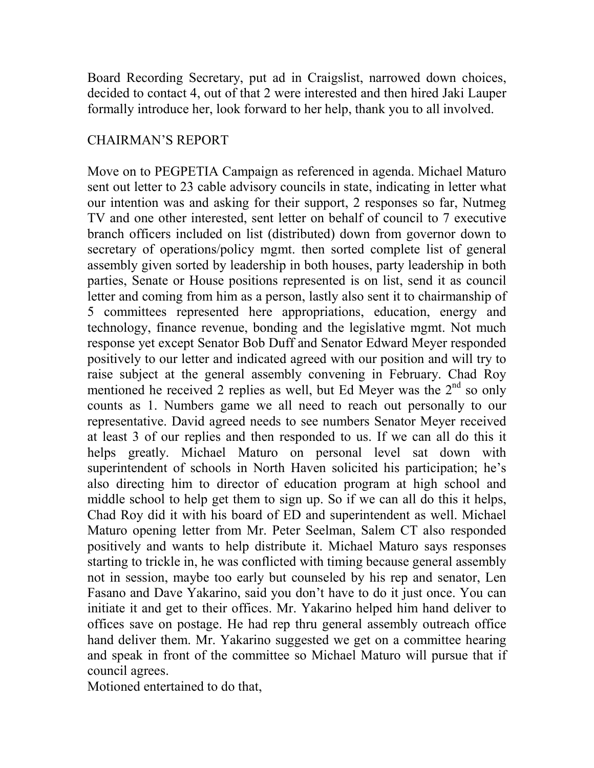Board Recording Secretary, put ad in Craigslist, narrowed down choices, decided to contact 4, out of that 2 were interested and then hired Jaki Lauper formally introduce her, look forward to her help, thank you to all involved.

# CHAIRMAN'S REPORT

Move on to PEGPETIA Campaign as referenced in agenda. Michael Maturo sent out letter to 23 cable advisory councils in state, indicating in letter what our intention was and asking for their support, 2 responses so far, Nutmeg TV and one other interested, sent letter on behalf of council to 7 executive branch officers included on list (distributed) down from governor down to secretary of operations/policy mgmt. then sorted complete list of general assembly given sorted by leadership in both houses, party leadership in both parties, Senate or House positions represented is on list, send it as council letter and coming from him as a person, lastly also sent it to chairmanship of 5 committees represented here appropriations, education, energy and technology, finance revenue, bonding and the legislative mgmt. Not much response yet except Senator Bob Duff and Senator Edward Meyer responded positively to our letter and indicated agreed with our position and will try to raise subject at the general assembly convening in February. Chad Roy mentioned he received 2 replies as well, but Ed Meyer was the  $2<sup>nd</sup>$  so only counts as 1. Numbers game we all need to reach out personally to our representative. David agreed needs to see numbers Senator Meyer received at least 3 of our replies and then responded to us. If we can all do this it helps greatly. Michael Maturo on personal level sat down with superintendent of schools in North Haven solicited his participation; he's also directing him to director of education program at high school and middle school to help get them to sign up. So if we can all do this it helps, Chad Roy did it with his board of ED and superintendent as well. Michael Maturo opening letter from Mr. Peter Seelman, Salem CT also responded positively and wants to help distribute it. Michael Maturo says responses starting to trickle in, he was conflicted with timing because general assembly not in session, maybe too early but counseled by his rep and senator, Len Fasano and Dave Yakarino, said you don't have to do it just once. You can initiate it and get to their offices. Mr. Yakarino helped him hand deliver to offices save on postage. He had rep thru general assembly outreach office hand deliver them. Mr. Yakarino suggested we get on a committee hearing and speak in front of the committee so Michael Maturo will pursue that if council agrees.

Motioned entertained to do that,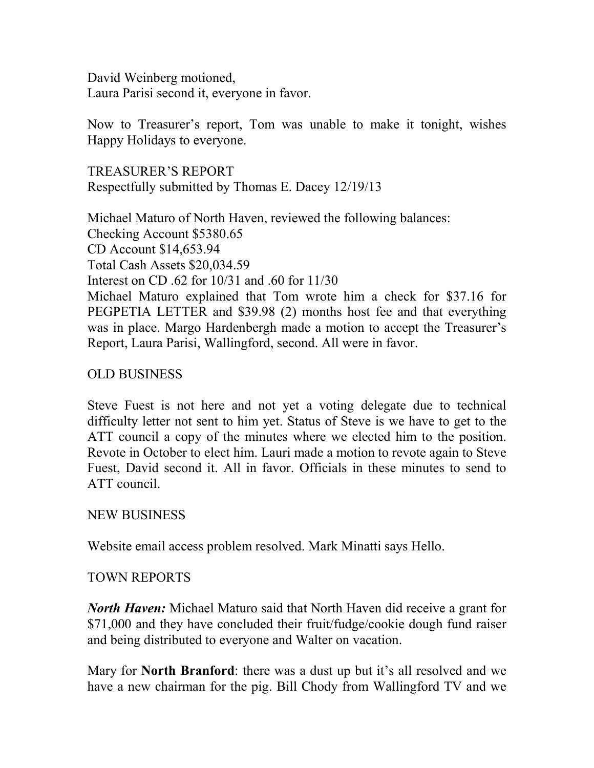David Weinberg motioned, Laura Parisi second it, everyone in favor.

Now to Treasurer's report, Tom was unable to make it tonight, wishes Happy Holidays to everyone.

TREASURER'S REPORT Respectfully submitted by Thomas E. Dacey 12/19/13

Michael Maturo of North Haven, reviewed the following balances: Checking Account \$5380.65 CD Account \$14,653.94 Total Cash Assets \$20,034.59 Interest on CD .62 for 10/31 and .60 for 11/30 Michael Maturo explained that Tom wrote him a check for \$37.16 for PEGPETIA LETTER and \$39.98 (2) months host fee and that everything was in place. Margo Hardenbergh made a motion to accept the Treasurer's Report, Laura Parisi, Wallingford, second. All were in favor.

## OLD BUSINESS

Steve Fuest is not here and not yet a voting delegate due to technical difficulty letter not sent to him yet. Status of Steve is we have to get to the ATT council a copy of the minutes where we elected him to the position. Revote in October to elect him. Lauri made a motion to revote again to Steve Fuest, David second it. All in favor. Officials in these minutes to send to ATT council.

#### NEW BUSINESS

Website email access problem resolved. Mark Minatti says Hello.

## TOWN REPORTS

*North Haven:* Michael Maturo said that North Haven did receive a grant for \$71,000 and they have concluded their fruit/fudge/cookie dough fund raiser and being distributed to everyone and Walter on vacation.

Mary for **North Branford**: there was a dust up but it's all resolved and we have a new chairman for the pig. Bill Chody from Wallingford TV and we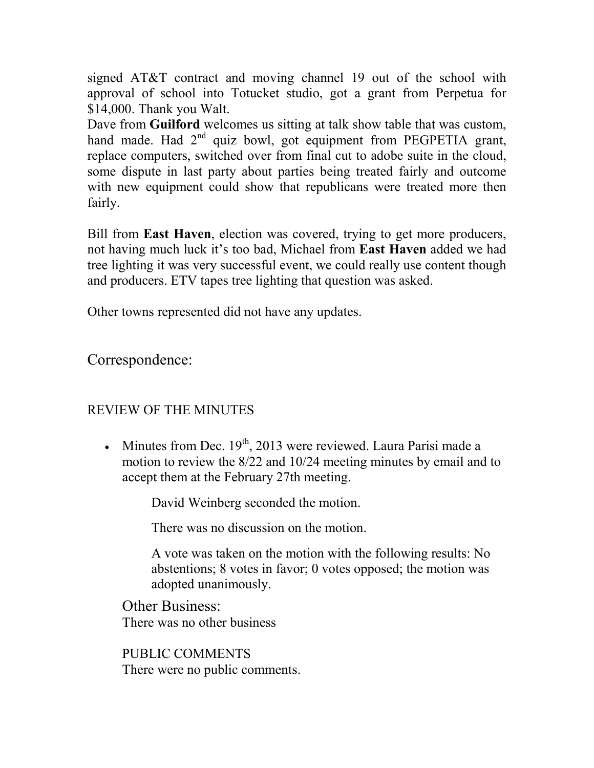signed AT&T contract and moving channel 19 out of the school with approval of school into Totucket studio, got a grant from Perpetua for \$14,000. Thank you Walt.

Dave from **Guilford** welcomes us sitting at talk show table that was custom, hand made. Had 2<sup>nd</sup> quiz bowl, got equipment from PEGPETIA grant, replace computers, switched over from final cut to adobe suite in the cloud, some dispute in last party about parties being treated fairly and outcome with new equipment could show that republicans were treated more then fairly.

Bill from **East Haven**, election was covered, trying to get more producers, not having much luck it's too bad, Michael from **East Haven** added we had tree lighting it was very successful event, we could really use content though and producers. ETV tapes tree lighting that question was asked.

Other towns represented did not have any updates.

Correspondence:

# REVIEW OF THE MINUTES

• Minutes from Dec.  $19<sup>th</sup>$ , 2013 were reviewed. Laura Parisi made a motion to review the 8/22 and 10/24 meeting minutes by email and to accept them at the February 27th meeting.

David Weinberg seconded the motion.

There was no discussion on the motion.

A vote was taken on the motion with the following results: No abstentions; 8 votes in favor; 0 votes opposed; the motion was adopted unanimously.

**Other Business:** There was no other business

PUBLIC COMMENTS There were no public comments.